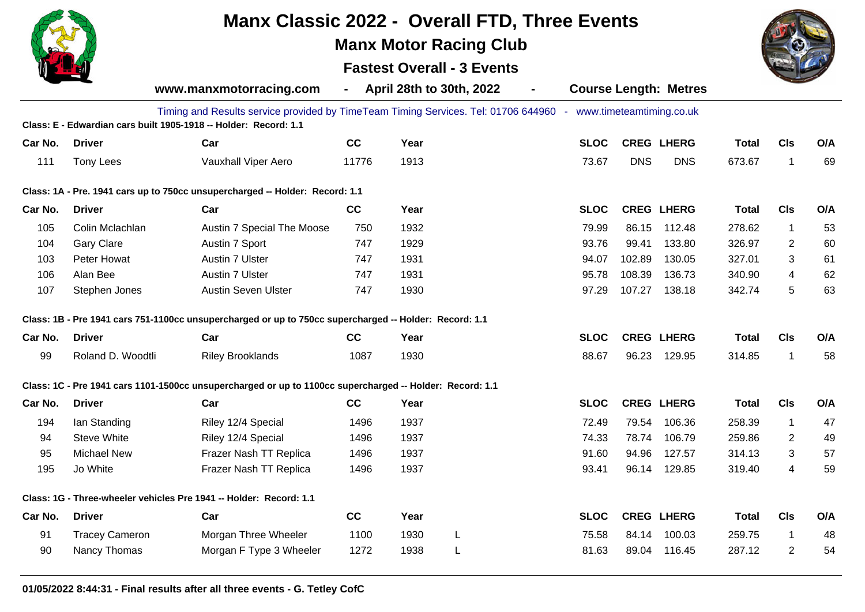

**01/05/2022 8:44:31 - Final results after all three events - G. Tetley CofC**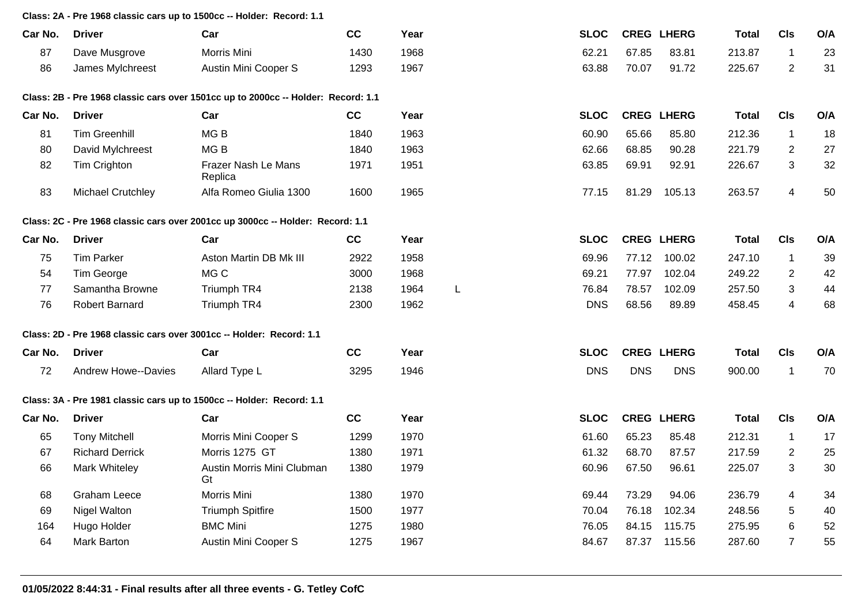## **Class: 2A - Pre 1968 classic cars up to 1500cc -- Holder: Record: 1.1**

| Car No. | <b>Driver</b>              | Car                                                                               | cc   | Year |   | <b>SLOC</b> |            | <b>CREG LHERG</b> | <b>Total</b> | <b>CIs</b>     | O/A |
|---------|----------------------------|-----------------------------------------------------------------------------------|------|------|---|-------------|------------|-------------------|--------------|----------------|-----|
| 87      | Dave Musgrove              | Morris Mini                                                                       | 1430 | 1968 |   | 62.21       | 67.85      | 83.81             | 213.87       | $\mathbf{1}$   | 23  |
| 86      | James Mylchreest           | Austin Mini Cooper S                                                              | 1293 | 1967 |   | 63.88       | 70.07      | 91.72             | 225.67       | $\overline{2}$ | 31  |
|         |                            | Class: 2B - Pre 1968 classic cars over 1501cc up to 2000cc -- Holder: Record: 1.1 |      |      |   |             |            |                   |              |                |     |
| Car No. | <b>Driver</b>              | Car                                                                               | cc   | Year |   | <b>SLOC</b> |            | <b>CREG LHERG</b> | <b>Total</b> | <b>CIs</b>     | O/A |
| 81      | <b>Tim Greenhill</b>       | MG <sub>B</sub>                                                                   | 1840 | 1963 |   | 60.90       | 65.66      | 85.80             | 212.36       | $\mathbf{1}$   | 18  |
| 80      | David Mylchreest           | MG <sub>B</sub>                                                                   | 1840 | 1963 |   | 62.66       | 68.85      | 90.28             | 221.79       | $\overline{2}$ | 27  |
| 82      | Tim Crighton               | Frazer Nash Le Mans<br>Replica                                                    | 1971 | 1951 |   | 63.85       | 69.91      | 92.91             | 226.67       | 3              | 32  |
| 83      | Michael Crutchley          | Alfa Romeo Giulia 1300                                                            | 1600 | 1965 |   | 77.15       | 81.29      | 105.13            | 263.57       | $\overline{4}$ | 50  |
|         |                            | Class: 2C - Pre 1968 classic cars over 2001cc up 3000cc -- Holder: Record: 1.1    |      |      |   |             |            |                   |              |                |     |
| Car No. | <b>Driver</b>              | Car                                                                               | cc   | Year |   | <b>SLOC</b> |            | <b>CREG LHERG</b> | <b>Total</b> | <b>CIs</b>     | O/A |
| 75      | <b>Tim Parker</b>          | Aston Martin DB Mk III                                                            | 2922 | 1958 |   | 69.96       | 77.12      | 100.02            | 247.10       | $\mathbf{1}$   | 39  |
| 54      | Tim George                 | MG C                                                                              | 3000 | 1968 |   | 69.21       | 77.97      | 102.04            | 249.22       | $\overline{2}$ | 42  |
| 77      | Samantha Browne            | Triumph TR4                                                                       | 2138 | 1964 | L | 76.84       | 78.57      | 102.09            | 257.50       | 3              | 44  |
| 76      | <b>Robert Barnard</b>      | Triumph TR4                                                                       | 2300 | 1962 |   | <b>DNS</b>  | 68.56      | 89.89             | 458.45       | 4              | 68  |
|         |                            | Class: 2D - Pre 1968 classic cars over 3001cc -- Holder: Record: 1.1              |      |      |   |             |            |                   |              |                |     |
| Car No. | <b>Driver</b>              | Car                                                                               | cc   | Year |   | <b>SLOC</b> |            | <b>CREG LHERG</b> | <b>Total</b> | <b>CIs</b>     | O/A |
| 72      | <b>Andrew Howe--Davies</b> | Allard Type L                                                                     | 3295 | 1946 |   | <b>DNS</b>  | <b>DNS</b> | <b>DNS</b>        | 900.00       | $\mathbf{1}$   | 70  |
|         |                            | Class: 3A - Pre 1981 classic cars up to 1500cc -- Holder: Record: 1.1             |      |      |   |             |            |                   |              |                |     |
| Car No. | <b>Driver</b>              | Car                                                                               | cc   | Year |   | <b>SLOC</b> |            | <b>CREG LHERG</b> | <b>Total</b> | <b>CIs</b>     | O/A |
| 65      | <b>Tony Mitchell</b>       | Morris Mini Cooper S                                                              | 1299 | 1970 |   | 61.60       | 65.23      | 85.48             | 212.31       | $\mathbf{1}$   | 17  |
| 67      | <b>Richard Derrick</b>     | Morris 1275 GT                                                                    | 1380 | 1971 |   | 61.32       | 68.70      | 87.57             | 217.59       | 2              | 25  |
| 66      | Mark Whiteley              | Austin Morris Mini Clubman<br>Gt                                                  | 1380 | 1979 |   | 60.96       | 67.50      | 96.61             | 225.07       | 3              | 30  |
| 68      | <b>Graham Leece</b>        | Morris Mini                                                                       | 1380 | 1970 |   | 69.44       | 73.29      | 94.06             | 236.79       | $\overline{4}$ | 34  |
| 69      | Nigel Walton               | <b>Triumph Spitfire</b>                                                           | 1500 | 1977 |   | 70.04       | 76.18      | 102.34            | 248.56       | $\sqrt{5}$     | 40  |
| 164     | Hugo Holder                | <b>BMC Mini</b>                                                                   | 1275 | 1980 |   | 76.05       | 84.15      | 115.75            | 275.95       | $\,6\,$        | 52  |
| 64      | <b>Mark Barton</b>         | Austin Mini Cooper S                                                              | 1275 | 1967 |   | 84.67       |            | 87.37 115.56      | 287.60       | $\overline{7}$ | 55  |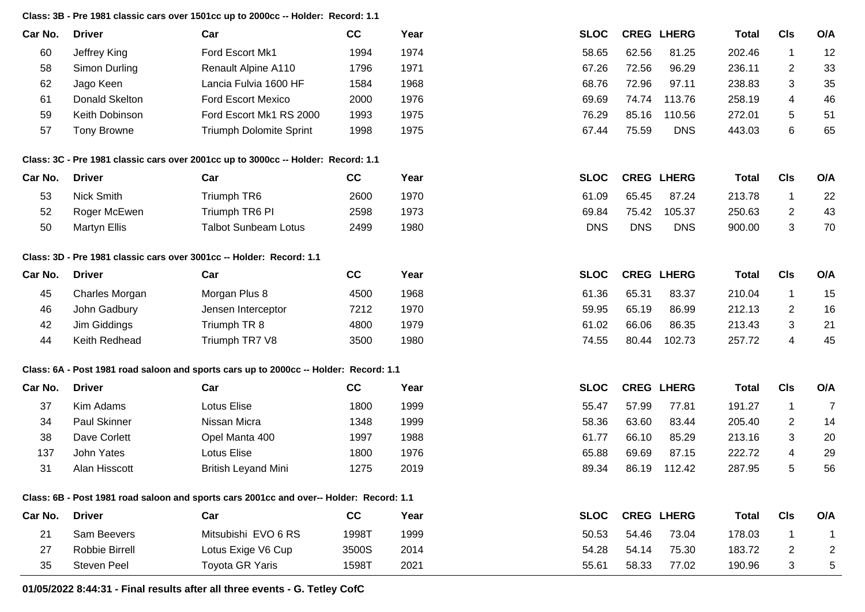**Class: 3B - Pre 1981 classic cars over 1501cc up to 2000cc -- Holder: Record: 1.1**

| Car No. | <b>Driver</b>  | Car                       | CC   | Year | <b>SLOC</b> |       | <b>CREG LHERG</b> | Total  | CIs | O/A |
|---------|----------------|---------------------------|------|------|-------------|-------|-------------------|--------|-----|-----|
| 60      | Jeffrey King   | Ford Escort Mk1           | 1994 | 1974 | 58.65       | 62.56 | 81.25             | 202.46 |     | 12  |
| 58      | Simon Durling  | Renault Alpine A110       | 1796 | 1971 | 67.26       | 72.56 | 96.29             | 236.11 |     | 33  |
| 62      | Jago Keen      | Lancia Fulvia 1600 HF     | 1584 | 1968 | 68.76       | 72.96 | 97.11             | 238.83 |     | 35  |
| 61      | Donald Skelton | <b>Ford Escort Mexico</b> | 2000 | 1976 | 69.69       | 74.74 | 113.76            | 258.19 |     | 46  |
| 59      | Keith Dobinson | Ford Escort Mk1 RS 2000   | 1993 | 1975 | 76.29       | 85.16 | 110.56            | 272.01 |     | 51  |
| 57      | Tony Browne    | Triumph Dolomite Sprint   | 1998 | 1975 | 67.44       | 75.59 | <b>DNS</b>        | 443.03 |     | 65  |
|         |                |                           |      |      |             |       |                   |        |     |     |

## **Class: 3C - Pre 1981 classic cars over 2001cc up to 3000cc -- Holder: Record: 1.1**

| Car No. | <b>Driver</b> | Car                         | cc   | Year | <b>SLOC</b> |            | <b>CREG LHERG</b> | Total  | <b>CIs</b> | O/A |
|---------|---------------|-----------------------------|------|------|-------------|------------|-------------------|--------|------------|-----|
| 53      | Nick Smith    | Triumph TR6                 | 2600 | 1970 | 61.09       | 65.45      | 87.24             | 213.78 |            | 22  |
| 52      | Roger McEwen  | Triumph TR6 PI              | 2598 | 1973 | 69.84       | 75.42      | 105.37            | 250.63 |            | 43  |
| 50      | Martyn Ellis  | <b>Talbot Sunbeam Lotus</b> | 2499 | 1980 | <b>DNS</b>  | <b>DNS</b> | <b>DNS</b>        | 900.00 |            | 70  |

## **Class: 3D - Pre 1981 classic cars over 3001cc -- Holder: Record: 1.1**

| Car No. | <b>Driver</b>  | Car                | cc   | Year | <b>SLOC</b> |       | <b>CREG LHERG</b> | Total  | CIs | O/A |
|---------|----------------|--------------------|------|------|-------------|-------|-------------------|--------|-----|-----|
| 45      | Charles Morgan | Morgan Plus 8      | 4500 | 1968 | 61.36       | 65.31 | 83.37             | 210.04 |     | 15  |
| 46      | John Gadbury   | Jensen Interceptor | 7212 | 1970 | 59.95       | 65.19 | 86.99             | 212.13 |     | 16  |
| 42      | Jim Giddings   | Triumph TR 8       | 4800 | 1979 | 61.02       | 66.06 | 86.35             | 213.43 |     | 21  |
|         | Keith Redhead  | Triumph TR7 V8     | 3500 | 1980 | 74.55       | 80.44 | 102.73            | 257.72 |     | 45  |

## **Class: 6A - Post 1981 road saloon and sports cars up to 2000cc -- Holder: Record: 1.1**

| Car No. | <b>Driver</b>       | Car                                                                                     | cc    | Year | <b>SLOC</b> |       | <b>CREG LHERG</b> | Total  | CIs            | O/A |
|---------|---------------------|-----------------------------------------------------------------------------------------|-------|------|-------------|-------|-------------------|--------|----------------|-----|
| 37      | Kim Adams           | Lotus Elise                                                                             | 1800  | 1999 | 55.47       | 57.99 | 77.81             | 191.27 |                |     |
| 34      | <b>Paul Skinner</b> | Nissan Micra                                                                            | 1348  | 1999 | 58.36       | 63.60 | 83.44             | 205.40 | $\overline{2}$ | 14  |
| 38      | Dave Corlett        | Opel Manta 400                                                                          | 1997  | 1988 | 61.77       | 66.10 | 85.29             | 213.16 | 3              | -20 |
| 137     | John Yates          | Lotus Elise                                                                             | 1800  | 1976 | 65.88       | 69.69 | 87.15             | 222.72 | 4              | 29  |
| 31      | Alan Hisscott       | <b>British Leyand Mini</b>                                                              | 1275  | 2019 | 89.34       | 86.19 | 112.42            | 287.95 | 5              | -56 |
|         |                     | Class: 6B - Post 1981 road saloon and sports cars 2001cc and over-- Holder: Record: 1.1 |       |      |             |       |                   |        |                |     |
| Car No. | <b>Driver</b>       | Car                                                                                     | СC    | Year | <b>SLOC</b> |       | <b>CREG LHERG</b> | Total  | <b>CIs</b>     | O/A |
| 21      | Sam Beevers         | Mitsubishi EVO 6 RS                                                                     | 1998T | 1999 | 50.53       | 54.46 | 73.04             | 178.03 |                |     |

27 Robbie Birrell Cotus Exige V6 Cup 3500S 2014 54.28 54.14 75.30 183.72 2 2 35 Steven Peel Toyota GR Yaris 1598T 2021 55.61 58.33 77.02 190.96 3 5

**01/05/2022 8:44:31 - Final results after all three events - G. Tetley CofC**